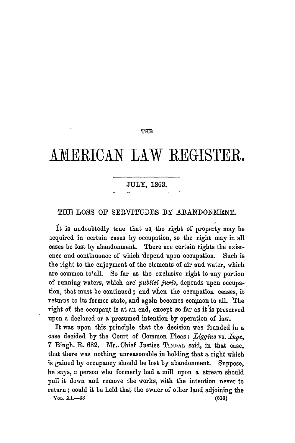## **AMERICAN** LAW REGISTER.

**THE**

## **JULY,** 1863.

## THE LOSS OF SERVITUDES BY ABANDONMENT.

It is undoubtedly true that as. the right of property may be acquired in certain cases by occupation, so the right may in all cases be lost by abandonment. There are certain tights the existence and continuance of which depend upon occupation. Such is the right to the enjoyment of the elements of air and water, which are common to'all. So far as the exclusive right to any portion of running waters, which are *publici juris*, depends upon occupation, that must be continued ; and when the occupation ceases, it returns to its former state, and again becomes common to all. The right of the occupant is at an end, except so far as it is preserved upon **a** declared or a presumed intention **by** operation of law.

It was upon this principle that the decision was founded in a case decided **by** the Court of Common Pleas: *Liggins* vs. *Inge,* **7** Bingh. **R. 682.** Mr.. Chief Justice **TINDAL** said, in that case, that there was nothing unreasonable in holding that a right which is gained **by** occupancy should be lost **by** abandonment. Suppose, he says, **a** person who formerly had a mill upon a stream should pull it down and remove the works, with the intention never to return; could it be held that the owner of other land adjoining the **VOL. XI.-33 (513)**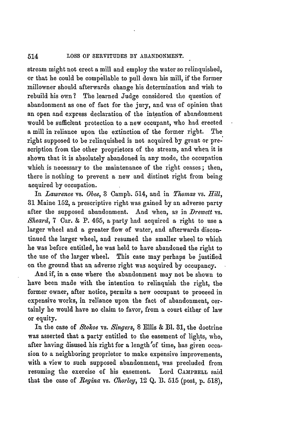514 **LOSS OF SERVITUDES BY ABANDONMENT.**

stream might not erect a mill and employ the water so relinquished, or that he could be compellable to pull down his mill, if the former millowner should afterwards change his determination and wish to rebuild his own ? The learned Judge considered the question of abandonment as one of fact for the jury, and was of opinion that an open and express declaration of the intention of abandonment would be sufficient protection to a new occupant, who had erected a mill in reliance upon the extinction of the former right. The right supposed to be relinquished is not acquired by grant or prescription from the other proprietors of the stream, and when it is shown that it is absolutely abandoned in any mode, the occupation which is necessary to the maintenance of the right ceases; then, there is nothing to prevent a new and distinct right from being acquired by occupation.

In *Lawrence* vs. *Obee,* **3** Campb. 514, and in *Thomas* vs. *Hill,* **31** Maine 152, a prescriptive right was gained by an adverse party after the supposed abandonment. And when, as in *Drewett* vs. *Sheard, 7* Car. & P. 465, a party had acquired a right to use a larger wheel and a greater flow of water, and afterwards discontinued the larger wheel, and resumed the smaller wheel to which he was before entitled, he was held to have abandoned the right to the use of the larger wheel. This case may perhaps be justified on the ground that an adverse right was acquired by occupancy.

**And** if, in a case where the abandonment may not be shown to have been made with the intention to relinquish the right, the former owner, after notice, permits a new occupant to proceed in expensive works, in reliance upon the fact of abandonment, certainly he would have no claim to favor, from a court either of law or equity.

In the case of *Stokoe* vs. *Singers,* 8 Ellis & BI. **31,** the doctrine was asserted that a party entitled to the easement of lights, who, after having disused his right for a length **"of** time, has given occasion to a neighboring proprietor to make expensive improvements, with a view to such supposed abandonment, was precluded from resuming the exercise of his easement. Lord **CAMPBELL** said that the case of *Regina* vs. *Chorley,* **12 Q.** B. **515** (post, p. 518),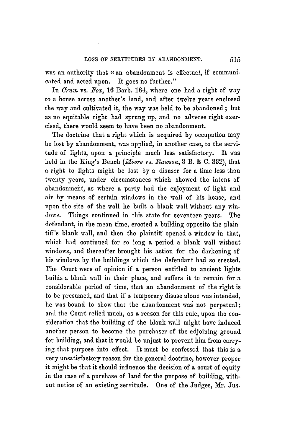was an authority that "an abandonment is effectual, if communicated and acted upon. It goes no further."

In *Ururn* vs. *Fox,* 16 Barb. 184, where one had a right of way to a house across another's land, and after twelve years enclosed the way and cultivated it, the way was held to be abandoned ; but as no equitable right had sprung up, and no adverse right exercised, there would seem to have been no abandonment.

The doctrine that a right which is acquired **by** occupation may be lost by abandonment, was applied, in another case, to the servitude of lights, upon a principle much less satisfactory. It was held in the King's Bench *(Moore vs. Rawson*, 3 B. & C. 332), that a right to lights might be lost by a disuser for a time less than twenty years, under circumstances which showed the intent of abandonment, as where a party had the enjoyment of light and air by means of certain windows in the wall of his house, and upon the site of the wall he built a blank wall without any windows. Things continued in this state for seventeen years. The defendant, in the mean time, erected a building opposite the plaintiff's blank wall, and then the plaintiff opened a window in that, which had continued for so long a period a blank wall without windows, and thereafter brought his action for the darkening of his windows **by** the buildings which the defendant had so erected. The Court were of opinion if a person entitled to ancient lights builds a blank wall in their place, and suffers it to remain for a considerable period of time, that an abandonment of the right is to be presumed, and that if a temporary disuse alone was intended, **he** was bound to show that the abandonment wai not perpetual; and the Court relied much, as a reason for this rule, upon the consideration that the building of the blank wall might have induced another person to become the purchaser of the adjoining ground for building, and that it would be unjust to prevent him from carrying that purpose into effect. It must be confessed that this is a very unsatisfactory reason for the general doctrine, however proper it might be that it should influence the decision of a court of equity in the case of a purchase of land for the purpose of building, without notice of an existing servitude. One of the Judges, Mr. Jus-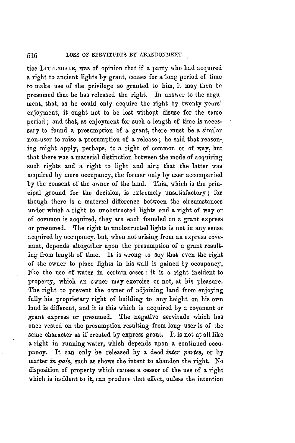tice LITTLEDALE, was of opinion that if a party who had acquired a right to ancient lights by grant, ceases for a long period of time to make use of the privilege so granted to him, it may then be presumed that he has released the right. In answer to the argu ment, that, as he could only acquire the right by twenty years' enjoyment, it ought not to be lost without disuse for the same period ; and that, as enjoyment for such a length of time is necessary to found a presumption of a grant, there must be a similar non-user to raise a presumption of a release ; he said that reasoning might apply, perhaps, to a right of common or of way, but that there was a material distinction between the mode of acquiring such rights and a right to light and air; that the latter was acquired by mere occupancy, the former only by user accompanied **by** the consent of the owner of the land. This, which is the principal ground for the decision, is extremely unsatisfactory; for though there is a material difference between the circumstances under which a right to unobstructed lights and a right of way or of common is acquired, they are each founded on a grant express or presumed. The right to unobstructed lights is not in any sense acquired by occupancy, but, when not arising from an express covenant, depends altogether upon the presumption of a grant resulting from length of time. It is wrong to say that even the right of the owner to place lights in his wall is gained by occupancy, like the use of water in certain cases **:** it is a right incident to property, which an owner may exercise or not, at his pleasure. The right to prevent the owner of adjoining land from enjoying fully his proprietary right of building to any height on his own land is different, and it is this which is acquired by a covenant or grant express or presumed. The negative servitude which has once vested on the presumption resulting from long user is of the same character as if created by express grant. It is not at all like a right in running water, which depends upon a continued occupancy. It can only be released **by** a deed *inter partes,* or **by** matter *in pais,* such as shows the intent to abandon the right. No disposition of property which causes a cesser of the use of a right which is incident to it, can produce that effect, unless the intention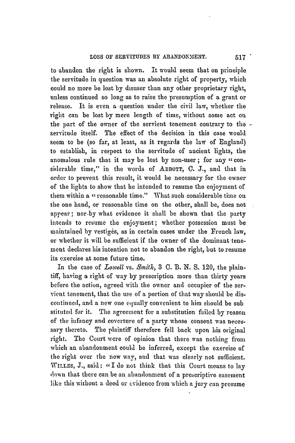to abandon the right is shown. It would seem that on principle the servitude in question was an absolute right of prcperty, which could no more be lost by disuser than any other proprietary right, unless continued so long as to raise the presumption of a grant or release. It is even a question under the civil law, whether the right can be lost by mere length of time, without some act on the part of the owner of the servient tenement contrary to the servitude itself. The effect of the decision in this case would seem to be (so far, at least, as it regards the law of England) to establish, in respect to the servitude of ancient lights, the anomalous rule that it may be lost by non-user; for any "considerable time," in the words of **ABBOTT, C. J.,** and that in order to prevent this result, it would be necessary for the owner of the lights to show that he intended to resume the enjoyment of them within a "reasonable time." What such considerable time on the one hand, or reasonable time on the other, shall be, does not appear; nor.by what evidence it shall be shown that the party intends to resume the enjoyment; whether possession must be maintained by vestiges, as in certain cases under the French law, or whether it will be sufficient if the owner of the dominant tenement declares his intention not to abandon the right, but to resume its exercise at some future time.

In the case of *Lowell* vs. *Smith,* 3 **0.** B. **N.** S. 120, the plaintiff, having a right of way by prescription more than thirty years before the action, agreed with the owner and occupier of the servient tenement, that the use of a portion of that way should be discontinued, and a new one equally convenient to him should be sub stituted for it. The agreement for a substitution failed by reason of the infincy and coverture of a party whose consent was necessary thereto. The plaintiff therefore fell back upon his original right. The Court were of opinion that there was nothing from which an abandonment could be inferred, except the exercise of the right over the new way, and that was clearly not sufficient. WILLES, J., said: "I do not think that this Court means to lay chown that there can be an abandonment of a prescriptive easement hke this without a deed or cyidence from which a jury can presume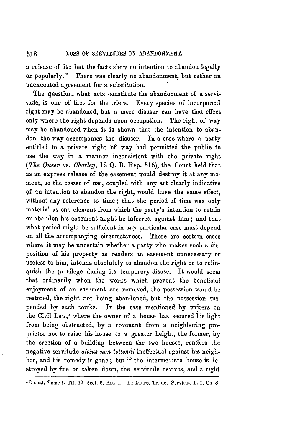a release of it: but the facts show no intention to abandon legally or popularly." There was clearly no abandonment, but rather an unexecuted agreement for a substitution.

The question, what acts constitute the abandonment of a servitude, is one of fact for the triers. Every species of incorporeal right may be abandoned, but a mere disuser can have that effect only where the right depends upon occupation. The right of way may be abandoned when it is shown that the intention to abandon the way accompanies the disuser. In a case where a party entitled to a private right **of** way had permitted the public to use the way in a manner inconsistent with the private right *(The Queen* vs. *Chorley,* 12 **Q.** B. Rep. **515),** the Court held that as an express release of the easement would destroy it at any moment, so the cesser of use, coupled with any act clearly indicative **of** an intention to abandon the right, would have the same effect, without any reference to time; that the period of time was only material as one element from which the party's intention to retain or abandon his easement might be inferred against him; and that what period might be sufficient in any particular case must depend on all the accompanying circumstances. There are certain cases where it may be uncertain whether a party who makes such a disposition of his property as renders an easement unnecessary or useless to him, intends absolutely to abandon the right or to relinquish the privilege during its temporary disuse. It would seem that ordinarily when the works which prevent the beneficial enjoyment of an easement are removed, the possession would be restored, the right not being abandoned, but the possession suspended by such works. In the case mentioned by writers on the Civil Law,' where the owner of a house has secured his light from being obstructed, by a covenant from a neighboring proprietor not to raise his house to a greater height, the former, by the erection of a building between the two houses, renders the negative servitude *altius non tollendi* ineffectual against his neighbor, and his remedy is gone; but if the intermediate house is destroyed by fire or taken down, the servitude revives, and a right

**<sup>&#</sup>x27;Domat, Tome 1, Tit. 12, Sect. 6, Art. 4. La Laure, Tr. des Servitut, L. 1, Ch. 8**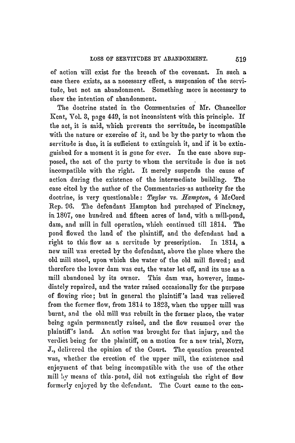of action will exist for the breach of the covenant. In such a case there exists, as a necessary effect, a suspension of the servitude, but not an abandonment. Something more is necessary to show the intention of abandonment.

The doctrine stated in the Commentaries of Mr. Chancellor Kent, Vol. **3,** page 449, is not inconsistent with this principle. If the act, it is said, which prevents the servitude, be incompatible with the nature or exercise of it, and be **by** the- party to whom the servitude is due, it is sufficient to extinguish it, and if it be extinguished for a moment it is gone for ever. In the case above supposed, the act of the party to whom the servitude is due is not incompatible with the right. It merely suspends the cause of action during the existence of the intermediate building. The case cited **by** the author of the Commentaries-as authority for the doctrine, is very questionable: *Taylor* vs. *Hampton,* 4 McCord Rep. **96.** The defendant Hampton **had** purchased of Pinckney, in **1807,** one hundred and fifteen acres of land, with a mill-pond, dam, and mill in full operation, which continued till 1814. The pond flowed the land of the plaintiff, and the defendant **had** a right to this flow as a servitude **by** prescription. In 1814, a new mill was erected **by** the defendant, above the place where the old mill stood, upon which the water of the old mill flowed; and therefore the lower dam was cut, the water let **off,** and its use as a mill abandoned **by** its owner. This dam was, however, immediately repaired, and the water raised occasionally for the purpose of flowing rice; but in general the plaintiff's land was relieved from the former flow, from 1814 to **1823,** when the upper mill was burnt, and the old mill was rebuilt in the former place, the water being again permanently raised, and the flow resumed over the plaintiff's land. An action was brought for that injury, and the verdict **being** for the plaintiff, on a motion for a new trial, **NOTT, J.,** delivered the opinion of the Court. The question presented was, whether the erection of the upper mill, the existence and enjoyment of that being incompatible with the use of the other mill by means of this pond, did not extinguish the right of flow formerly enjoyed **by** the defendant. The Court came to the con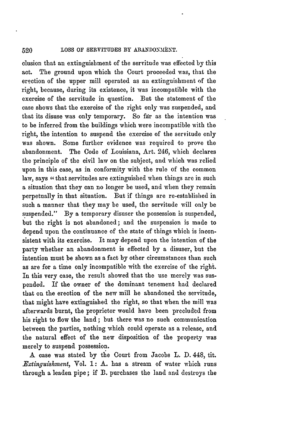elusion that an extinguishment of the servitude was effected by this act. The ground upon which the Court proceeded was, that the erection of the upper mill operated as an extinguishment of the right, because, during its existence, it was incompatible with the exercise of the servitude in question. But the statement of the case shows that the exercise of the right only was suspended, and that its disuse was only temporary. So far as the intention was to be inferred from the buildings which were incompatible with the right, the intention to suspend the exercise of the servitude only was shown. Some further evidence was required to prove the abandonment. The Code of Louisiana, Art. 246, which declares the principle of the civil law on the subject, and which was relied upon in this case, as in conformity with the rule of the common law, says " that servitudes are extinguished when things are in such a situation that they can no longer be used, and when they remain perpetually in that situation. But if things are re-established in such a manner that they may be used, the servitude will only be suspended." By a temporary disuser the possession is suspended, but the right is not abandoned; and the suspension is made to depend upon the continuance of the state of things which is inconsistent with its exercise. It may depend upon the intention of the party whether an abandonment is effected by a disuser, but the intention must be shown as a fact by other circumstances than such as are for a time only incompatible with the exercise of the righi. In this very case, the result showed that the use merely was suspended. If the owner of the dominant tenement had declared that on the erection of the new mill he abandoned the servitude, that might have extinguished the right, so that when the mill was afterwards burnt, the proprietor would have been precluded from his right to flow the land; but there was no such communication between the parties, nothing which could operate as a release, and the natural effect of the new disposition of the property was merely to suspend possession.

A case was stated by the Court from Jacobs L. D. 448, tit. *Extinguishment,* Vol. 1: A. has a stream of water which runs through a leaden pipe; if B. purchases the land and destroys the